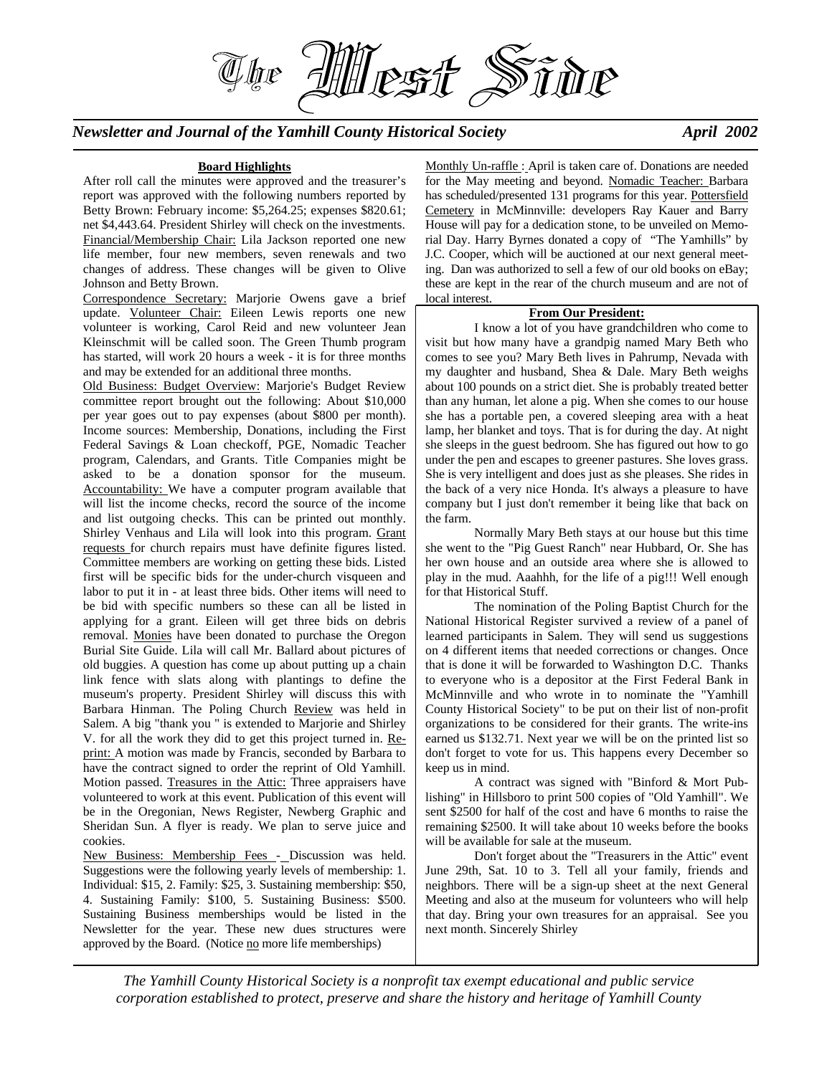*Newsletter and Journal of the Yamhill County Historical Society April 2002* 

#### **Board Highlights**

The

After roll call the minutes were approved and the treasurer's report was approved with the following numbers reported by Betty Brown: February income: \$5,264.25; expenses \$820.61; net \$4,443.64. President Shirley will check on the investments. Financial/Membership Chair: Lila Jackson reported one new life member, four new members, seven renewals and two changes of address. These changes will be given to Olive Johnson and Betty Brown.

Correspondence Secretary: Marjorie Owens gave a brief update. Volunteer Chair: Eileen Lewis reports one new volunteer is working, Carol Reid and new volunteer Jean Kleinschmit will be called soon. The Green Thumb program has started, will work 20 hours a week - it is for three months and may be extended for an additional three months.

Old Business: Budget Overview: Marjorie's Budget Review committee report brought out the following: About \$10,000 per year goes out to pay expenses (about \$800 per month). Income sources: Membership, Donations, including the First Federal Savings & Loan checkoff, PGE, Nomadic Teacher program, Calendars, and Grants. Title Companies might be asked to be a donation sponsor for the museum. Accountability: We have a computer program available that will list the income checks, record the source of the income and list outgoing checks. This can be printed out monthly. Shirley Venhaus and Lila will look into this program. Grant requests for church repairs must have definite figures listed. Committee members are working on getting these bids. Listed first will be specific bids for the under-church visqueen and labor to put it in - at least three bids. Other items will need to be bid with specific numbers so these can all be listed in applying for a grant. Eileen will get three bids on debris removal. Monies have been donated to purchase the Oregon Burial Site Guide. Lila will call Mr. Ballard about pictures of old buggies. A question has come up about putting up a chain link fence with slats along with plantings to define the museum's property. President Shirley will discuss this with Barbara Hinman. The Poling Church Review was held in Salem. A big "thank you " is extended to Marjorie and Shirley V. for all the work they did to get this project turned in. Reprint: A motion was made by Francis, seconded by Barbara to have the contract signed to order the reprint of Old Yamhill. Motion passed. Treasures in the Attic: Three appraisers have volunteered to work at this event. Publication of this event will be in the Oregonian, News Register, Newberg Graphic and Sheridan Sun. A flyer is ready. We plan to serve juice and cookies.

New Business: Membership Fees - Discussion was held. Suggestions were the following yearly levels of membership: 1. Individual: \$15, 2. Family: \$25, 3. Sustaining membership: \$50, 4. Sustaining Family: \$100, 5. Sustaining Business: \$500. Sustaining Business memberships would be listed in the Newsletter for the year. These new dues structures were approved by the Board. (Notice no more life memberships)

Monthly Un-raffle : April is taken care of. Donations are needed for the May meeting and beyond. Nomadic Teacher: Barbara has scheduled/presented 131 programs for this year. Pottersfield Cemetery in McMinnville: developers Ray Kauer and Barry House will pay for a dedication stone, to be unveiled on Memorial Day. Harry Byrnes donated a copy of "The Yamhills" by J.C. Cooper, which will be auctioned at our next general meeting. Dan was authorized to sell a few of our old books on eBay; these are kept in the rear of the church museum and are not of local interest.

## **From Our President:**

 I know a lot of you have grandchildren who come to visit but how many have a grandpig named Mary Beth who comes to see you? Mary Beth lives in Pahrump, Nevada with my daughter and husband, Shea & Dale. Mary Beth weighs about 100 pounds on a strict diet. She is probably treated better than any human, let alone a pig. When she comes to our house she has a portable pen, a covered sleeping area with a heat lamp, her blanket and toys. That is for during the day. At night she sleeps in the guest bedroom. She has figured out how to go under the pen and escapes to greener pastures. She loves grass. She is very intelligent and does just as she pleases. She rides in the back of a very nice Honda. It's always a pleasure to have company but I just don't remember it being like that back on the farm.

 Normally Mary Beth stays at our house but this time she went to the "Pig Guest Ranch" near Hubbard, Or. She has her own house and an outside area where she is allowed to play in the mud. Aaahhh, for the life of a pig!!! Well enough for that Historical Stuff.

 The nomination of the Poling Baptist Church for the National Historical Register survived a review of a panel of learned participants in Salem. They will send us suggestions on 4 different items that needed corrections or changes. Once that is done it will be forwarded to Washington D.C. Thanks to everyone who is a depositor at the First Federal Bank in McMinnville and who wrote in to nominate the "Yamhill County Historical Society" to be put on their list of non-profit organizations to be considered for their grants. The write-ins earned us \$132.71. Next year we will be on the printed list so don't forget to vote for us. This happens every December so keep us in mind.

 A contract was signed with "Binford & Mort Publishing" in Hillsboro to print 500 copies of "Old Yamhill". We sent \$2500 for half of the cost and have 6 months to raise the remaining \$2500. It will take about 10 weeks before the books will be available for sale at the museum.

 Don't forget about the "Treasurers in the Attic" event June 29th, Sat. 10 to 3. Tell all your family, friends and neighbors. There will be a sign-up sheet at the next General Meeting and also at the museum for volunteers who will help that day. Bring your own treasures for an appraisal. See you next month. Sincerely Shirley

*The Yamhill County Historical Society is a nonprofit tax exempt educational and public service corporation established to protect, preserve and share the history and heritage of Yamhill County*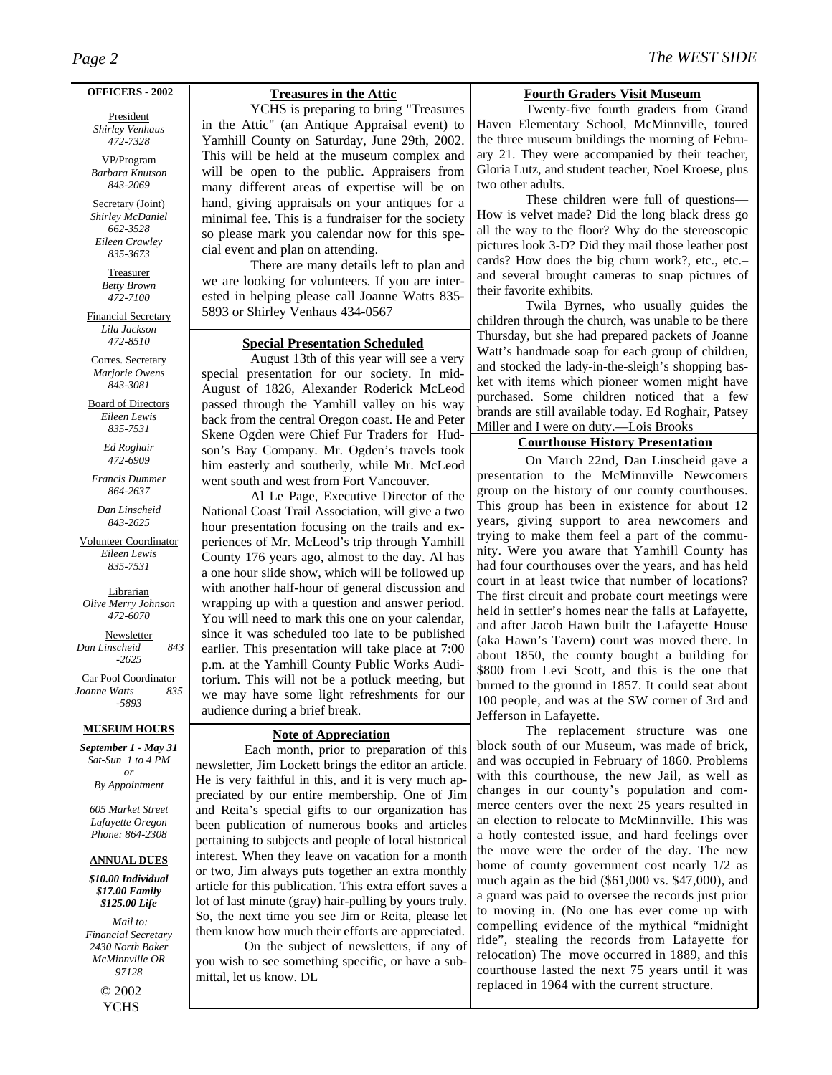#### **OFFICERS - 2002**

President *Shirley Venhaus 472-7328*

VP/Program *Barbara Knutson 843-2069*

Secretary (Joint) *Shirley McDaniel 662-3528 Eileen Crawley 835-3673* 

> Treasurer *Betty Brown 472-7100*

Financial Secretary *Lila Jackson 472-8510* 

Corres. Secretary *Marjorie Owens 843-3081* 

Board of Directors *Eileen Lewis 835-7531* 

> *Ed Roghair 472-6909*

*Francis Dummer 864-2637* 

*Dan Linscheid 843-2625* 

Volunteer Coordinator *Eileen Lewis 835-7531* 

**Librarian** *Olive Merry Johnson 472-6070* 

Newsletter *Dan Linscheid 843 -2625* 

Car Pool Coordinator<br>
panne Watts 835 *Joanne Watts -5893* 

#### **MUSEUM HOURS**

*September 1 - May 31 Sat-Sun 1 to 4 PM or By Appointment* 

*605 Market Street Lafayette Oregon Phone: 864-2308* 

#### **ANNUAL DUES**

*\$10.00 Individual \$17.00 Family \$125.00 Life*

 *Mail to: Financial Secretary 2430 North Baker McMinnville OR 97128*  © 2002 YCHS

## **Treasures in the Attic**

 YCHS is preparing to bring "Treasures in the Attic" (an Antique Appraisal event) to Yamhill County on Saturday, June 29th, 2002. This will be held at the museum complex and will be open to the public. Appraisers from many different areas of expertise will be on hand, giving appraisals on your antiques for a minimal fee. This is a fundraiser for the society so please mark you calendar now for this special event and plan on attending.

 There are many details left to plan and we are looking for volunteers. If you are interested in helping please call Joanne Watts 835- 5893 or Shirley Venhaus 434-0567

## **Special Presentation Scheduled**

August 13th of this year will see a very special presentation for our society. In mid-August of 1826, Alexander Roderick McLeod passed through the Yamhill valley on his way back from the central Oregon coast. He and Peter Skene Ogden were Chief Fur Traders for Hudson's Bay Company. Mr. Ogden's travels took him easterly and southerly, while Mr. McLeod went south and west from Fort Vancouver.

 Al Le Page, Executive Director of the National Coast Trail Association, will give a two hour presentation focusing on the trails and experiences of Mr. McLeod's trip through Yamhill County 176 years ago, almost to the day. Al has a one hour slide show, which will be followed up with another half-hour of general discussion and wrapping up with a question and answer period. You will need to mark this one on your calendar, since it was scheduled too late to be published earlier. This presentation will take place at 7:00 p.m. at the Yamhill County Public Works Auditorium. This will not be a potluck meeting, but we may have some light refreshments for our audience during a brief break.

# **Note of Appreciation**

 Each month, prior to preparation of this newsletter, Jim Lockett brings the editor an article. He is very faithful in this, and it is very much appreciated by our entire membership. One of Jim and Reita's special gifts to our organization has been publication of numerous books and articles pertaining to subjects and people of local historical interest. When they leave on vacation for a month or two, Jim always puts together an extra monthly article for this publication. This extra effort saves a lot of last minute (gray) hair-pulling by yours truly. So, the next time you see Jim or Reita, please let them know how much their efforts are appreciated.

 On the subject of newsletters, if any of you wish to see something specific, or have a submittal, let us know. DL

### **Fourth Graders Visit Museum**

 Twenty-five fourth graders from Grand Haven Elementary School, McMinnville, toured the three museum buildings the morning of February 21. They were accompanied by their teacher, Gloria Lutz, and student teacher, Noel Kroese, plus two other adults.

 These children were full of questions— How is velvet made? Did the long black dress go all the way to the floor? Why do the stereoscopic pictures look 3-D? Did they mail those leather post cards? How does the big churn work?, etc., etc.– and several brought cameras to snap pictures of their favorite exhibits.

 Twila Byrnes, who usually guides the children through the church, was unable to be there Thursday, but she had prepared packets of Joanne Watt's handmade soap for each group of children, and stocked the lady-in-the-sleigh's shopping basket with items which pioneer women might have purchased. Some children noticed that a few brands are still available today. Ed Roghair, Patsey Miller and I were on duty.—Lois Brooks

## **Courthouse History Presentation**

On March 22nd, Dan Linscheid gave a presentation to the McMinnville Newcomers group on the history of our county courthouses. This group has been in existence for about 12 years, giving support to area newcomers and trying to make them feel a part of the community. Were you aware that Yamhill County has had four courthouses over the years, and has held court in at least twice that number of locations? The first circuit and probate court meetings were held in settler's homes near the falls at Lafayette, and after Jacob Hawn built the Lafayette House (aka Hawn's Tavern) court was moved there. In about 1850, the county bought a building for \$800 from Levi Scott, and this is the one that burned to the ground in 1857. It could seat about 100 people, and was at the SW corner of 3rd and Jefferson in Lafayette.

The replacement structure was one block south of our Museum, was made of brick, and was occupied in February of 1860. Problems with this courthouse, the new Jail, as well as changes in our county's population and commerce centers over the next 25 years resulted in an election to relocate to McMinnville. This was a hotly contested issue, and hard feelings over the move were the order of the day. The new home of county government cost nearly 1/2 as much again as the bid (\$61,000 vs. \$47,000), and a guard was paid to oversee the records just prior to moving in. (No one has ever come up with compelling evidence of the mythical "midnight ride", stealing the records from Lafayette for relocation) The move occurred in 1889, and this courthouse lasted the next 75 years until it was replaced in 1964 with the current structure.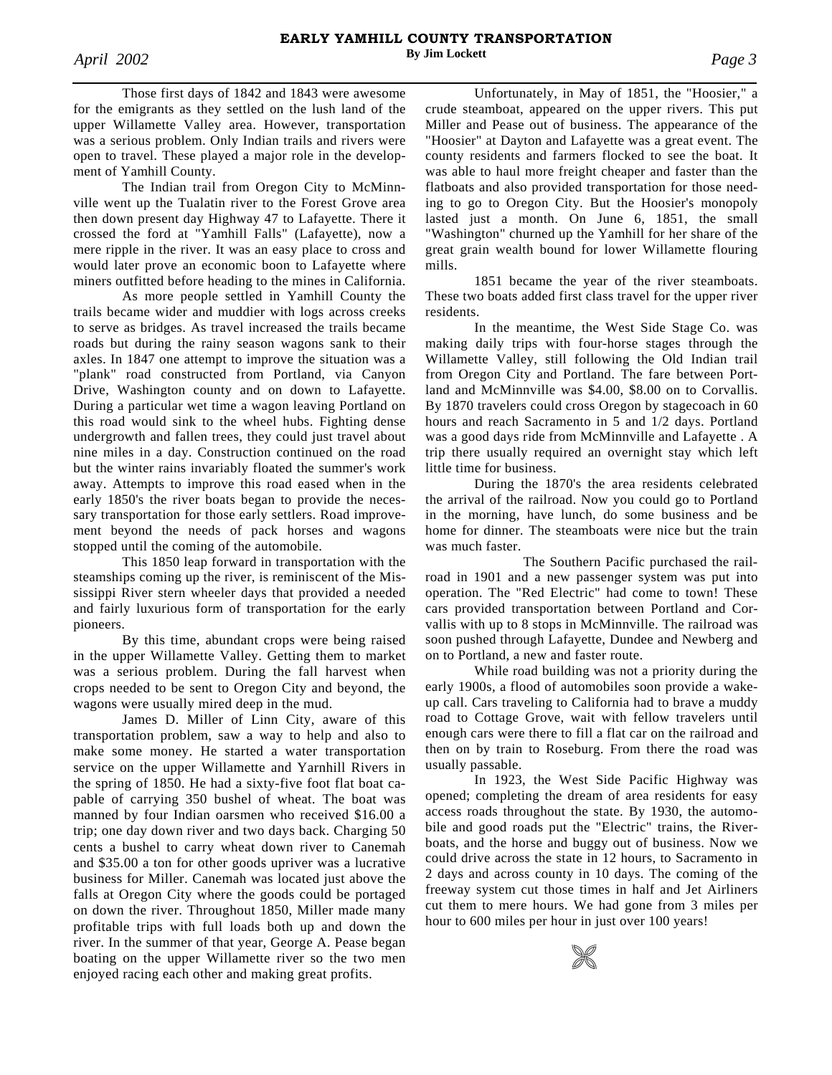Those first days of 1842 and 1843 were awesome for the emigrants as they settled on the lush land of the upper Willamette Valley area. However, transportation was a serious problem. Only Indian trails and rivers were open to travel. These played a major role in the development of Yamhill County.

The Indian trail from Oregon City to McMinnville went up the Tualatin river to the Forest Grove area then down present day Highway 47 to Lafayette. There it crossed the ford at "Yamhill Falls" (Lafayette), now a mere ripple in the river. It was an easy place to cross and would later prove an economic boon to Lafayette where miners outfitted before heading to the mines in California.

As more people settled in Yamhill County the trails became wider and muddier with logs across creeks to serve as bridges. As travel increased the trails became roads but during the rainy season wagons sank to their axles. In 1847 one attempt to improve the situation was a "plank" road constructed from Portland, via Canyon Drive, Washington county and on down to Lafayette. During a particular wet time a wagon leaving Portland on this road would sink to the wheel hubs. Fighting dense undergrowth and fallen trees, they could just travel about nine miles in a day. Construction continued on the road but the winter rains invariably floated the summer's work away. Attempts to improve this road eased when in the early 1850's the river boats began to provide the necessary transportation for those early settlers. Road improvement beyond the needs of pack horses and wagons stopped until the coming of the automobile.

This 1850 leap forward in transportation with the steamships coming up the river, is reminiscent of the Mississippi River stern wheeler days that provided a needed and fairly luxurious form of transportation for the early pioneers.

By this time, abundant crops were being raised in the upper Willamette Valley. Getting them to market was a serious problem. During the fall harvest when crops needed to be sent to Oregon City and beyond, the wagons were usually mired deep in the mud.

 James D. Miller of Linn City, aware of this transportation problem, saw a way to help and also to make some money. He started a water transportation service on the upper Willamette and Yarnhill Rivers in the spring of 1850. He had a sixty-five foot flat boat capable of carrying 350 bushel of wheat. The boat was manned by four Indian oarsmen who received \$16.00 a trip; one day down river and two days back. Charging 50 cents a bushel to carry wheat down river to Canemah and \$35.00 a ton for other goods upriver was a lucrative business for Miller. Canemah was located just above the falls at Oregon City where the goods could be portaged on down the river. Throughout 1850, Miller made many profitable trips with full loads both up and down the river. In the summer of that year, George A. Pease began boating on the upper Willamette river so the two men enjoyed racing each other and making great profits.

 Unfortunately, in May of 1851, the "Hoosier," a crude steamboat, appeared on the upper rivers. This put Miller and Pease out of business. The appearance of the "Hoosier" at Dayton and Lafayette was a great event. The county residents and farmers flocked to see the boat. It was able to haul more freight cheaper and faster than the flatboats and also provided transportation for those needing to go to Oregon City. But the Hoosier's monopoly lasted just a month. On June 6, 1851, the small "Washington" churned up the Yamhill for her share of the great grain wealth bound for lower Willamette flouring mills.

1851 became the year of the river steamboats. These two boats added first class travel for the upper river residents.

In the meantime, the West Side Stage Co. was making daily trips with four-horse stages through the Willamette Valley, still following the Old Indian trail from Oregon City and Portland. The fare between Portland and McMinnville was \$4.00, \$8.00 on to Corvallis. By 1870 travelers could cross Oregon by stagecoach in 60 hours and reach Sacramento in 5 and 1/2 days. Portland was a good days ride from McMinnville and Lafayette . A trip there usually required an overnight stay which left little time for business.

During the 1870's the area residents celebrated the arrival of the railroad. Now you could go to Portland in the morning, have lunch, do some business and be home for dinner. The steamboats were nice but the train was much faster.

 The Southern Pacific purchased the railroad in 1901 and a new passenger system was put into operation. The "Red Electric" had come to town! These cars provided transportation between Portland and Corvallis with up to 8 stops in McMinnville. The railroad was soon pushed through Lafayette, Dundee and Newberg and on to Portland, a new and faster route.

While road building was not a priority during the early 1900s, a flood of automobiles soon provide a wakeup call. Cars traveling to California had to brave a muddy road to Cottage Grove, wait with fellow travelers until enough cars were there to fill a flat car on the railroad and then on by train to Roseburg. From there the road was usually passable.

In 1923, the West Side Pacific Highway was opened; completing the dream of area residents for easy access roads throughout the state. By 1930, the automobile and good roads put the "Electric" trains, the Riverboats, and the horse and buggy out of business. Now we could drive across the state in 12 hours, to Sacramento in 2 days and across county in 10 days. The coming of the freeway system cut those times in half and Jet Airliners cut them to mere hours. We had gone from 3 miles per hour to 600 miles per hour in just over 100 years!